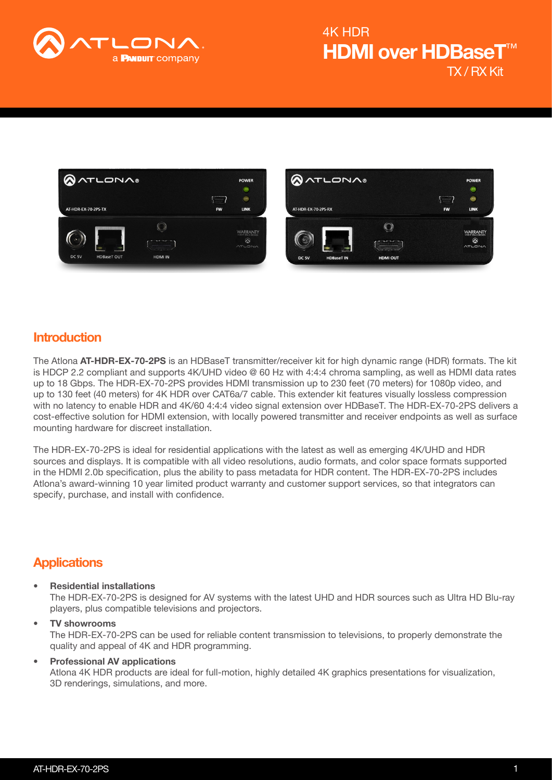

## TX / RX Kit HDMI over HDBase<sup>-</sup> 4K HDR





### Introduction

The Atlona AT-HDR-EX-70-2PS is an HDBaseT transmitter/receiver kit for high dynamic range (HDR) formats. The kit is HDCP 2.2 compliant and supports 4K/UHD video @ 60 Hz with 4:4:4 chroma sampling, as well as HDMI data rates up to 18 Gbps. The HDR-EX-70-2PS provides HDMI transmission up to 230 feet (70 meters) for 1080p video, and up to 130 feet (40 meters) for 4K HDR over CAT6a/7 cable. This extender kit features visually lossless compression with no latency to enable HDR and 4K/60 4:4:4 video signal extension over HDBaseT. The HDR-EX-70-2PS delivers a cost-effective solution for HDMI extension, with locally powered transmitter and receiver endpoints as well as surface mounting hardware for discreet installation.

The HDR-EX-70-2PS is ideal for residential applications with the latest as well as emerging 4K/UHD and HDR sources and displays. It is compatible with all video resolutions, audio formats, and color space formats supported in the HDMI 2.0b specification, plus the ability to pass metadata for HDR content. The HDR-EX-70-2PS includes Atlona's award-winning 10 year limited product warranty and customer support services, so that integrators can specify, purchase, and install with confidence.

### **Applications**

- Residential installations The HDR-EX-70-2PS is designed for AV systems with the latest UHD and HDR sources such as Ultra HD Blu-ray players, plus compatible televisions and projectors.
- TV showrooms The HDR-EX-70-2PS can be used for reliable content transmission to televisions, to properly demonstrate the quality and appeal of 4K and HDR programming.
- Professional AV applications Atlona 4K HDR products are ideal for full-motion, highly detailed 4K graphics presentations for visualization, 3D renderings, simulations, and more.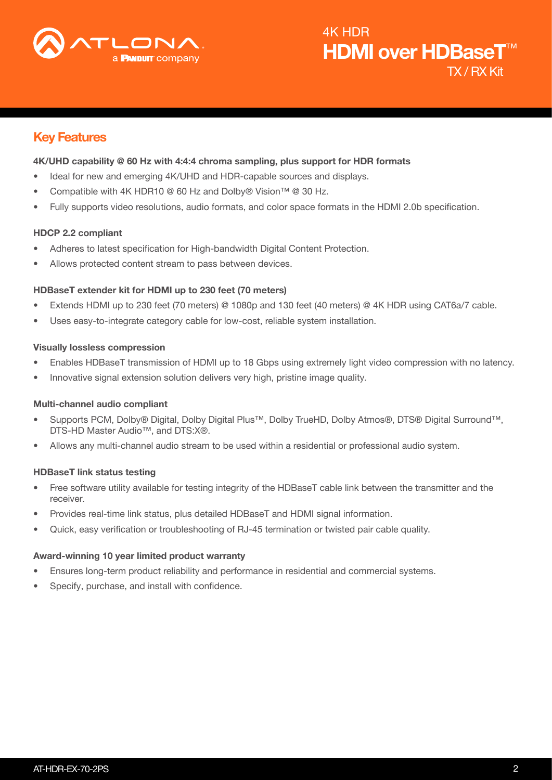

## Key Features

#### 4K/UHD capability @ 60 Hz with 4:4:4 chroma sampling, plus support for HDR formats

- Ideal for new and emerging 4K/UHD and HDR-capable sources and displays.
- Compatible with 4K HDR10 @ 60 Hz and Dolby® Vision™ @ 30 Hz.
- Fully supports video resolutions, audio formats, and color space formats in the HDMI 2.0b specification.

#### HDCP 2.2 compliant

- Adheres to latest specification for High-bandwidth Digital Content Protection.
- Allows protected content stream to pass between devices.

#### HDBaseT extender kit for HDMI up to 230 feet (70 meters)

- Extends HDMI up to 230 feet (70 meters) @ 1080p and 130 feet (40 meters) @ 4K HDR using CAT6a/7 cable.
- Uses easy-to-integrate category cable for low-cost, reliable system installation.

#### Visually lossless compression

- Enables HDBaseT transmission of HDMI up to 18 Gbps using extremely light video compression with no latency.
- Innovative signal extension solution delivers very high, pristine image quality.

#### Multi-channel audio compliant

- Supports PCM, Dolby® Digital, Dolby Digital Plus™, Dolby TrueHD, Dolby Atmos®, DTS® Digital Surround™, DTS-HD Master Audio™, and DTS:X®.
- Allows any multi-channel audio stream to be used within a residential or professional audio system.

#### HDBaseT link status testing

- Free software utility available for testing integrity of the HDBaseT cable link between the transmitter and the receiver.
- Provides real-time link status, plus detailed HDBaseT and HDMI signal information.
- Quick, easy verification or troubleshooting of RJ-45 termination or twisted pair cable quality.

#### Award-winning 10 year limited product warranty

- Ensures long-term product reliability and performance in residential and commercial systems.
- Specify, purchase, and install with confidence.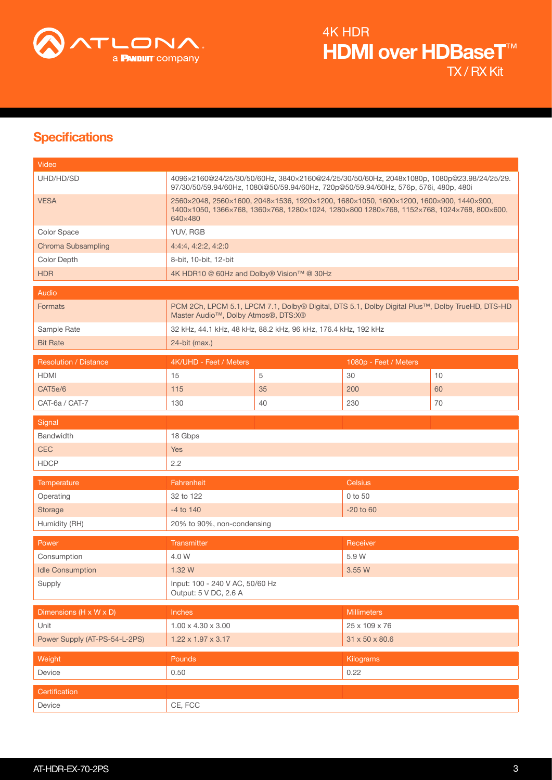

# **Specifications**

| Video                         |                                                                                                                                                                                               |    |                            |      |  |
|-------------------------------|-----------------------------------------------------------------------------------------------------------------------------------------------------------------------------------------------|----|----------------------------|------|--|
| UHD/HD/SD                     | 4096x2160@24/25/30/50/60Hz, 3840x2160@24/25/30/50/60Hz, 2048x1080p, 1080p@23.98/24/25/29.<br>97/30/50/59.94/60Hz, 1080i@50/59.94/60Hz, 720p@50/59.94/60Hz, 576p, 576i, 480p, 480i             |    |                            |      |  |
| <b>VESA</b>                   | 2560×2048, 2560×1600, 2048×1536, 1920×1200, 1680×1050, 1600×1200, 1600×900, 1440×900,<br>1400×1050, 1366×768, 1360×768, 1280×1024, 1280×800 1280×768, 1152×768, 1024×768, 800×600,<br>640×480 |    |                            |      |  |
| Color Space                   | YUV, RGB                                                                                                                                                                                      |    |                            |      |  |
| Chroma Subsampling            | 4:4:4, 4:2:2, 4:2:0                                                                                                                                                                           |    |                            |      |  |
| Color Depth                   | 8-bit, 10-bit, 12-bit                                                                                                                                                                         |    |                            |      |  |
| <b>HDR</b>                    | 4K HDR10 @ 60Hz and Dolby® Vision™ @ 30Hz                                                                                                                                                     |    |                            |      |  |
| Audio                         |                                                                                                                                                                                               |    |                            |      |  |
| <b>Formats</b>                | PCM 2Ch, LPCM 5.1, LPCM 7.1, Dolby® Digital, DTS 5.1, Dolby Digital Plus™, Dolby TrueHD, DTS-HD<br>Master Audio <sup>™</sup> , Dolby Atmos®, DTS:X®                                           |    |                            |      |  |
| Sample Rate                   | 32 kHz, 44.1 kHz, 48 kHz, 88.2 kHz, 96 kHz, 176.4 kHz, 192 kHz                                                                                                                                |    |                            |      |  |
| <b>Bit Rate</b>               | 24-bit (max.)                                                                                                                                                                                 |    |                            |      |  |
| <b>Resolution / Distance</b>  | 4K/UHD - Feet / Meters                                                                                                                                                                        |    | 1080p - Feet / Meters      |      |  |
| <b>HDMI</b>                   | 15                                                                                                                                                                                            | 5  | 30                         | 10   |  |
| CAT5e/6                       | 115                                                                                                                                                                                           | 35 | 200                        | 60   |  |
| CAT-6a / CAT-7                | 130                                                                                                                                                                                           | 40 | 230                        | 70   |  |
| Signal                        |                                                                                                                                                                                               |    |                            |      |  |
| <b>Bandwidth</b>              | 18 Gbps                                                                                                                                                                                       |    |                            |      |  |
| <b>CEC</b>                    | <b>Yes</b>                                                                                                                                                                                    |    |                            |      |  |
| <b>HDCP</b>                   | 2.2                                                                                                                                                                                           |    |                            |      |  |
| <b>Temperature</b>            | <b>Celsius</b><br>Fahrenheit                                                                                                                                                                  |    |                            |      |  |
| Operating                     | 32 to 122                                                                                                                                                                                     |    | 0 to 50                    |      |  |
| Storage                       | $-4$ to $140$                                                                                                                                                                                 |    | $-20$ to $60$              |      |  |
| Humidity (RH)                 | 20% to 90%, non-condensing                                                                                                                                                                    |    |                            |      |  |
| Power                         | Transmitter                                                                                                                                                                                   |    | Receiver                   |      |  |
| Consumption                   | 4.0 W                                                                                                                                                                                         |    | 5.9 W                      |      |  |
| <b>Idle Consumption</b>       | 1.32W                                                                                                                                                                                         |    | 3.55 W                     |      |  |
| Supply                        | Input: 100 - 240 V AC, 50/60 Hz<br>Output: 5 V DC, 2.6 A                                                                                                                                      |    |                            |      |  |
| Dimensions (H x W x D)        | <b>Inches</b>                                                                                                                                                                                 |    | <b>Millimeters</b>         |      |  |
| Unit                          | $1.00 \times 4.30 \times 3.00$                                                                                                                                                                |    | 25 x 109 x 76              |      |  |
| Power Supply (AT-PS-54-L-2PS) | $1.22 \times 1.97 \times 3.17$                                                                                                                                                                |    | $31 \times 50 \times 80.6$ |      |  |
| Weight                        | Pounds                                                                                                                                                                                        |    | Kilograms                  |      |  |
| Device                        | 0.50                                                                                                                                                                                          |    |                            | 0.22 |  |
| Certification                 |                                                                                                                                                                                               |    |                            |      |  |
| Device                        | CE, FCC                                                                                                                                                                                       |    |                            |      |  |